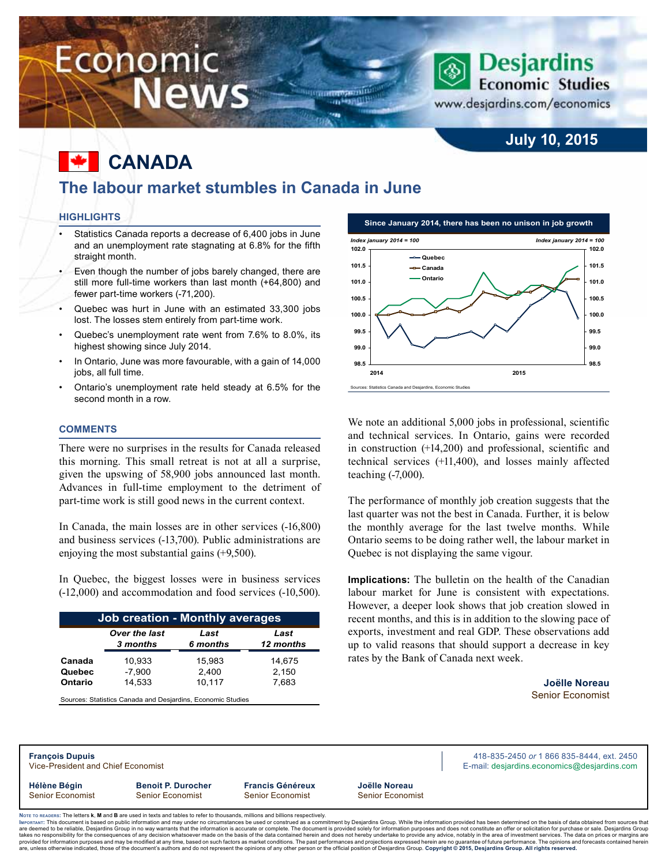# Economic **News**

### **July 10, 2015**

**Desjardins Economic Studies** 

www.desjardins.com/economics

# **Canada**

### **The labour market stumbles in Canada in June**

um<del>manan</del>in on Hamilli

#### **Highlights**

- Statistics Canada reports a decrease of 6,400 jobs in June and an unemployment rate stagnating at 6.8% for the fifth straight month.
- Even though the number of jobs barely changed, there are still more full-time workers than last month (+64,800) and fewer part-time workers (-71,200).
- Quebec was hurt in June with an estimated 33,300 jobs lost. The losses stem entirely from part-time work.
- Quebec's unemployment rate went from 7.6% to 8.0%, its highest showing since July 2014.
- In Ontario, June was more favourable, with a gain of 14,000 jobs, all full time.
- Ontario's unemployment rate held steady at 6.5% for the second month in a row.

#### **Comments**

There were no surprises in the results for Canada released this morning. This small retreat is not at all a surprise, given the upswing of 58,900 jobs announced last month. Advances in full-time employment to the detriment of part-time work is still good news in the current context.

In Canada, the main losses are in other services (-16,800) and business services (-13,700). Public administrations are enjoying the most substantial gains (+9,500).

In Quebec, the biggest losses were in business services (-12,000) and accommodation and food services (-10,500).

| <b>Job creation - Monthly averages</b> |               |          |           |  |  |  |  |  |  |
|----------------------------------------|---------------|----------|-----------|--|--|--|--|--|--|
|                                        | Over the last | Last     | Last      |  |  |  |  |  |  |
|                                        | 3 months      | 6 months | 12 months |  |  |  |  |  |  |
| Canada                                 | 10,933        | 15,983   | 14,675    |  |  |  |  |  |  |
| Quebec                                 | $-7,900$      | 2,400    | 2,150     |  |  |  |  |  |  |
| <b>Ontario</b>                         | 14,533        | 10,117   | 7,683     |  |  |  |  |  |  |

Sources: Statistics Canada and Desjardins, Economic Studies



We note an additional 5,000 jobs in professional, scientific and technical services. In Ontario, gains were recorded in construction (+14,200) and professional, scientific and technical services (+11,400), and losses mainly affected teaching (-7,000).

The performance of monthly job creation suggests that the last quarter was not the best in Canada. Further, it is below the monthly average for the last twelve months. While Ontario seems to be doing rather well, the labour market in Quebec is not displaying the same vigour.

**Implications:** The bulletin on the health of the Canadian labour market for June is consistent with expectations. However, a deeper look shows that job creation slowed in recent months, and this is in addition to the slowing pace of exports, investment and real GDP. These observations add up to valid reasons that should support a decrease in key rates by the Bank of Canada next week.

> **Joëlle Noreau** Senior Economist

| <b>François Dupuis</b><br>Vice-President and Chief Economist |                           | 418-835-2450 or 1 866 835-8444, ext. 2450<br>E-mail: desjardins.economics@desjardins.com |                         |  |
|--------------------------------------------------------------|---------------------------|------------------------------------------------------------------------------------------|-------------------------|--|
| Hélène Bégin                                                 | <b>Benoit P. Durocher</b> | <b>Francis Généreux</b>                                                                  | Joëlle Noreau           |  |
| <b>Senior Economist</b>                                      | <b>Senior Economist</b>   | Senior Economist                                                                         | <b>Senior Economist</b> |  |

ORTANT: This document is based on public information and may under no circumstances be used or construed as a commitment by Desjardins Group. While the information provided has been determined on the basis of data obtained are deemed to be reliable. Desiardins Group in no way warrants that the information is accurate or complete. The document is provided solely for information purposes and does not constitute an offer or solicitation for pur takes no responsibility for the consequences of any decision whatsoever made on the basis of the data contained herein and does not hereby undertake to provide any advice, notably in the area of investment services. The da .<br>are, unless otherwise indicated, those of the document's authors and do not represent the opinions of any other person or the official position of Desjardins Group. Copyright © 2015, Desjardins Group. All rights reserve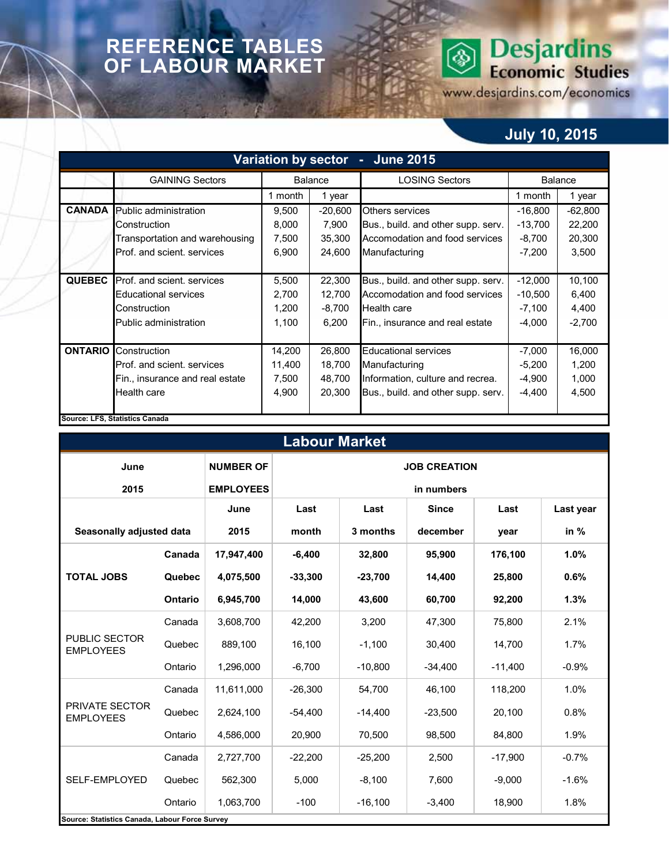### **REFERENCE TABLES OF LABOUR MARKET**

# **Desjardins**<br>Economic Studies  $\circledS$

www.desjardins.com/economics

## **July 10, 2015**

| <b>Variation by sector</b><br><b>June 2015</b><br>$\blacksquare$ |                                   |                 |                |                                    |                |           |  |  |  |  |  |
|------------------------------------------------------------------|-----------------------------------|-----------------|----------------|------------------------------------|----------------|-----------|--|--|--|--|--|
|                                                                  | <b>GAINING Sectors</b>            |                 | <b>Balance</b> | <b>LOSING Sectors</b>              | <b>Balance</b> |           |  |  |  |  |  |
|                                                                  |                                   | 1 month         | 1 year         |                                    | 1 month        | 1 year    |  |  |  |  |  |
| <b>CANADA</b>                                                    | Public administration             | 9,500           | $-20,600$      | <b>Others services</b>             | $-16,800$      | $-62,800$ |  |  |  |  |  |
|                                                                  | Construction                      | 8,000           | 7,900          | Bus., build. and other supp. serv. | $-13,700$      | 22,200    |  |  |  |  |  |
|                                                                  | Transportation and warehousing    | 7,500           | 35,300         | Accomodation and food services     | $-8,700$       | 20,300    |  |  |  |  |  |
|                                                                  | <b>Prof. and scient. services</b> | 6,900<br>24,600 |                | Manufacturing                      | $-7,200$       | 3,500     |  |  |  |  |  |
|                                                                  |                                   |                 |                |                                    |                |           |  |  |  |  |  |
| <b>QUEBEC</b>                                                    | Prof. and scient. services        | 5,500           | 22,300         | Bus., build. and other supp. serv. | $-12,000$      | 10,100    |  |  |  |  |  |
|                                                                  | <b>Educational services</b>       | 2,700           | 12,700         | Accomodation and food services     | $-10,500$      | 6,400     |  |  |  |  |  |
|                                                                  | Construction                      | 1,200           | $-8,700$       | <b>Health care</b>                 | $-7,100$       | 4,400     |  |  |  |  |  |
|                                                                  | Public administration             | 1,100<br>6,200  |                | Fin., insurance and real estate    | $-4,000$       | $-2,700$  |  |  |  |  |  |
|                                                                  |                                   |                 |                |                                    |                |           |  |  |  |  |  |
| <b>ONTARIO</b>                                                   | Construction                      | 14,200          | 26,800         | <b>Educational services</b>        | $-7,000$       | 16,000    |  |  |  |  |  |
|                                                                  | Prof. and scient. services        | 11,400          | 18,700         | Manufacturing                      | $-5,200$       | 1,200     |  |  |  |  |  |
|                                                                  | Fin., insurance and real estate   | 7,500<br>48,700 |                | Information, culture and recrea.   | $-4,900$       | 1,000     |  |  |  |  |  |
|                                                                  | Health care                       | 4,900           | 20,300         | Bus., build. and other supp. serv. | $-4,400$       | 4,500     |  |  |  |  |  |
|                                                                  |                                   |                 |                |                                    |                |           |  |  |  |  |  |
|                                                                  | Source: LFS, Statistics Canada    |                 |                |                                    |                |           |  |  |  |  |  |

| <b>Labour Market</b>                           |         |                  |                     |                      |           |           |           |  |  |  |  |
|------------------------------------------------|---------|------------------|---------------------|----------------------|-----------|-----------|-----------|--|--|--|--|
| June                                           |         | <b>NUMBER OF</b> | <b>JOB CREATION</b> |                      |           |           |           |  |  |  |  |
| 2015                                           |         | <b>EMPLOYEES</b> | in numbers          |                      |           |           |           |  |  |  |  |
|                                                |         | June             | Last                | Last<br><b>Since</b> |           | Last      | Last year |  |  |  |  |
| Seasonally adjusted data                       |         | 2015             | month               | 3 months             | december  | year      | in $%$    |  |  |  |  |
| Canada                                         |         | 17,947,400       | $-6,400$            | 32,800               | 95,900    | 176,100   | 1.0%      |  |  |  |  |
| <b>TOTAL JOBS</b>                              | Quebec  | 4,075,500        | $-33,300$           | $-23,700$            | 14,400    | 25,800    | 0.6%      |  |  |  |  |
|                                                | Ontario | 6,945,700        | 14,000              | 43,600               | 60,700    | 92,200    | 1.3%      |  |  |  |  |
|                                                | Canada  | 3,608,700        | 42,200              | 3,200                | 47,300    | 75,800    | 2.1%      |  |  |  |  |
| PUBLIC SECTOR<br><b>EMPLOYEES</b>              | Quebec  | 889,100          | 16,100              | $-1,100$             | 30,400    | 14,700    | 1.7%      |  |  |  |  |
|                                                | Ontario | 1,296,000        | $-6,700$            | $-10,800$            | $-34,400$ | $-11,400$ | $-0.9%$   |  |  |  |  |
|                                                | Canada  | 11,611,000       | $-26,300$           | 54,700               | 46,100    | 118,200   | 1.0%      |  |  |  |  |
| PRIVATE SECTOR<br><b>EMPLOYEES</b>             | Quebec  | 2,624,100        | $-54.400$           | $-14,400$            | $-23,500$ | 20,100    | 0.8%      |  |  |  |  |
|                                                | Ontario | 4,586,000        | 20,900              | 70,500               | 98,500    | 84,800    | 1.9%      |  |  |  |  |
|                                                | Canada  | 2,727,700        | $-22,200$           | $-25,200$            | 2,500     | $-17,900$ | $-0.7%$   |  |  |  |  |
| SELF-EMPLOYED                                  | Quebec  | 562,300          | 5,000               | $-8,100$             | 7,600     | $-9,000$  | $-1.6%$   |  |  |  |  |
|                                                | Ontario | 1,063,700        | $-100$              | $-16,100$            | $-3,400$  | 18,900    | 1.8%      |  |  |  |  |
| Source: Statistics Canada, Labour Force Survey |         |                  |                     |                      |           |           |           |  |  |  |  |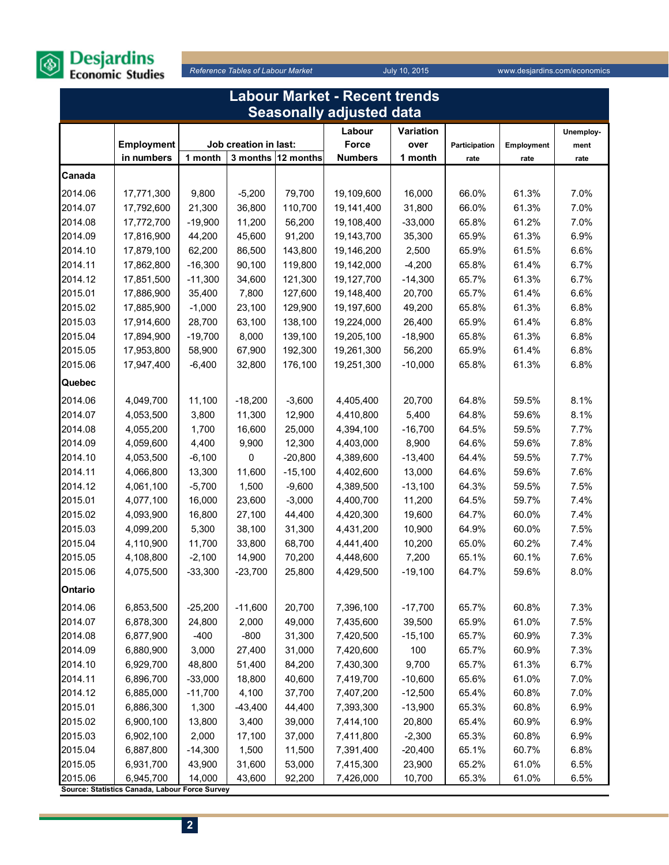

| <b>Labour Market - Recent trends</b> |                                                             |           |                       |           |                                 |           |               |            |           |  |
|--------------------------------------|-------------------------------------------------------------|-----------|-----------------------|-----------|---------------------------------|-----------|---------------|------------|-----------|--|
|                                      |                                                             |           |                       |           | <b>Seasonally adjusted data</b> |           |               |            |           |  |
|                                      |                                                             |           |                       |           | Labour                          | Variation |               |            | Unemploy- |  |
|                                      | <b>Employment</b>                                           |           | Job creation in last: |           | Force                           | over      | Participation | Employment | ment      |  |
|                                      | in numbers                                                  | 1 month   | 3 months              | 12 months | <b>Numbers</b>                  | 1 month   | rate          | rate       | rate      |  |
| Canada                               |                                                             |           |                       |           |                                 |           |               |            |           |  |
| 2014.06                              | 17,771,300                                                  | 9,800     | $-5,200$              | 79,700    | 19,109,600                      | 16,000    | 66.0%         | 61.3%      | 7.0%      |  |
| 2014.07                              | 17,792,600                                                  | 21,300    | 36,800                | 110,700   | 19,141,400                      | 31,800    | 66.0%         | 61.3%      | 7.0%      |  |
| 2014.08                              | 17,772,700                                                  | $-19,900$ | 11,200                | 56,200    | 19,108,400                      | $-33,000$ | 65.8%         | 61.2%      | 7.0%      |  |
| 2014.09                              | 17,816,900                                                  | 44,200    | 45,600                | 91,200    | 19,143,700                      | 35,300    | 65.9%         | 61.3%      | 6.9%      |  |
| 2014.10                              | 17,879,100                                                  | 62,200    | 86,500                | 143,800   | 19,146,200                      | 2,500     | 65.9%         | 61.5%      | 6.6%      |  |
| 2014.11                              | 17,862,800                                                  | $-16,300$ | 90,100                | 119,800   | 19,142,000                      | $-4,200$  | 65.8%         | 61.4%      | 6.7%      |  |
| 2014.12                              | 17,851,500                                                  | $-11,300$ | 34,600                | 121,300   | 19,127,700                      | $-14,300$ | 65.7%         | 61.3%      | 6.7%      |  |
| 2015.01                              | 17,886,900                                                  | 35,400    | 7,800                 | 127,600   | 19,148,400                      | 20,700    | 65.7%         | 61.4%      | 6.6%      |  |
| 2015.02                              | 17,885,900                                                  | $-1,000$  | 23,100                | 129,900   | 19,197,600                      | 49,200    | 65.8%         | 61.3%      | 6.8%      |  |
| 2015.03                              | 17,914,600                                                  | 28,700    | 63,100                | 138,100   | 19,224,000                      | 26,400    | 65.9%         | 61.4%      | 6.8%      |  |
| 2015.04                              | 17,894,900                                                  | $-19,700$ | 8,000                 | 139,100   | 19,205,100                      | $-18,900$ | 65.8%         | 61.3%      | 6.8%      |  |
| 2015.05                              | 17,953,800                                                  | 58,900    | 67,900                | 192,300   | 19,261,300                      | 56,200    | 65.9%         | 61.4%      | 6.8%      |  |
| 2015.06                              | 17,947,400                                                  | $-6,400$  | 32,800                | 176,100   | 19,251,300                      | $-10,000$ | 65.8%         | 61.3%      | 6.8%      |  |
| Quebec                               |                                                             |           |                       |           |                                 |           |               |            |           |  |
| 2014.06                              | 4,049,700                                                   | 11,100    | $-18,200$             | $-3,600$  | 4,405,400                       | 20,700    | 64.8%         | 59.5%      | 8.1%      |  |
| 2014.07                              | 4,053,500                                                   | 3,800     | 11,300                | 12,900    | 4,410,800                       | 5,400     | 64.8%         | 59.6%      | 8.1%      |  |
| 2014.08                              | 4,055,200                                                   | 1,700     | 16,600                | 25,000    | 4,394,100                       | $-16,700$ | 64.5%         | 59.5%      | 7.7%      |  |
| 2014.09                              | 4,059,600                                                   | 4,400     | 9,900                 | 12,300    | 4,403,000                       | 8,900     | 64.6%         | 59.6%      | 7.8%      |  |
| 2014.10                              | 4,053,500                                                   | $-6,100$  | 0                     | $-20,800$ | 4,389,600                       | $-13,400$ | 64.4%         | 59.5%      | 7.7%      |  |
| 2014.11                              | 4,066,800                                                   | 13,300    | 11,600                | $-15,100$ | 4,402,600                       | 13,000    | 64.6%         | 59.6%      | 7.6%      |  |
| 2014.12                              | 4,061,100                                                   | $-5,700$  | 1,500                 | $-9,600$  | 4,389,500                       | $-13,100$ | 64.3%         | 59.5%      | 7.5%      |  |
| 2015.01                              | 4,077,100                                                   | 16,000    | 23,600                | $-3,000$  | 4,400,700                       | 11,200    | 64.5%         | 59.7%      | 7.4%      |  |
| 2015.02                              | 4,093,900                                                   | 16,800    | 27,100                | 44,400    | 4,420,300                       | 19,600    | 64.7%         | 60.0%      | 7.4%      |  |
| 2015.03                              | 4,099,200                                                   | 5,300     | 38,100                | 31,300    | 4,431,200                       | 10,900    | 64.9%         | 60.0%      | 7.5%      |  |
| 2015.04                              | 4,110,900                                                   | 11,700    | 33,800                | 68,700    | 4,441,400                       | 10,200    | 65.0%         | 60.2%      | 7.4%      |  |
| 2015.05                              | 4,108,800                                                   | $-2,100$  | 14,900                | 70,200    | 4,448,600                       | 7,200     | 65.1%         | 60.1%      | 7.6%      |  |
| 2015.06                              | 4,075,500                                                   | $-33,300$ | $-23,700$             | 25,800    | 4,429,500                       | $-19,100$ | 64.7%         | 59.6%      | 8.0%      |  |
| Ontario                              |                                                             |           |                       |           |                                 |           |               |            |           |  |
| 2014.06                              | 6,853,500                                                   | $-25,200$ | $-11,600$             | 20,700    | 7,396,100                       | $-17,700$ | 65.7%         | 60.8%      | 7.3%      |  |
| 2014.07                              | 6,878,300                                                   | 24,800    | 2,000                 | 49,000    | 7,435,600                       | 39,500    | 65.9%         | 61.0%      | 7.5%      |  |
| 2014.08                              | 6,877,900                                                   | $-400$    | $-800$                | 31,300    | 7,420,500                       | $-15,100$ | 65.7%         | 60.9%      | 7.3%      |  |
| 2014.09                              | 6,880,900                                                   | 3,000     | 27,400                | 31,000    | 7,420,600                       | 100       | 65.7%         | 60.9%      | 7.3%      |  |
| 2014.10                              | 6,929,700                                                   | 48,800    | 51,400                | 84,200    | 7,430,300                       | 9,700     | 65.7%         | 61.3%      | 6.7%      |  |
| 2014.11                              | 6,896,700                                                   | $-33,000$ | 18,800                | 40,600    | 7,419,700                       | $-10,600$ | 65.6%         | 61.0%      | 7.0%      |  |
| 2014.12                              | 6,885,000                                                   | $-11,700$ | 4,100                 | 37,700    | 7,407,200                       | $-12,500$ | 65.4%         | 60.8%      | 7.0%      |  |
| 2015.01                              | 6,886,300                                                   | 1,300     | $-43,400$             | 44,400    | 7,393,300                       | $-13,900$ | 65.3%         | 60.8%      | 6.9%      |  |
| 2015.02                              | 6,900,100                                                   | 13,800    | 3,400                 | 39,000    | 7,414,100                       | 20,800    | 65.4%         | 60.9%      | 6.9%      |  |
| 2015.03                              | 6,902,100                                                   | 2,000     | 17,100                | 37,000    | 7,411,800                       | $-2,300$  | 65.3%         | 60.8%      | 6.9%      |  |
| 2015.04                              | 6,887,800                                                   | $-14,300$ | 1,500                 | 11,500    | 7,391,400                       | $-20,400$ | 65.1%         | 60.7%      | 6.8%      |  |
| 2015.05                              | 6,931,700                                                   | 43,900    | 31,600                | 53,000    | 7,415,300                       | 23,900    | 65.2%         | 61.0%      | 6.5%      |  |
| 2015.06                              | 6,945,700<br>Source: Statistics Canada, Labour Force Survey | 14,000    | 43,600                | 92,200    | 7,426,000                       | 10,700    | 65.3%         | 61.0%      | 6.5%      |  |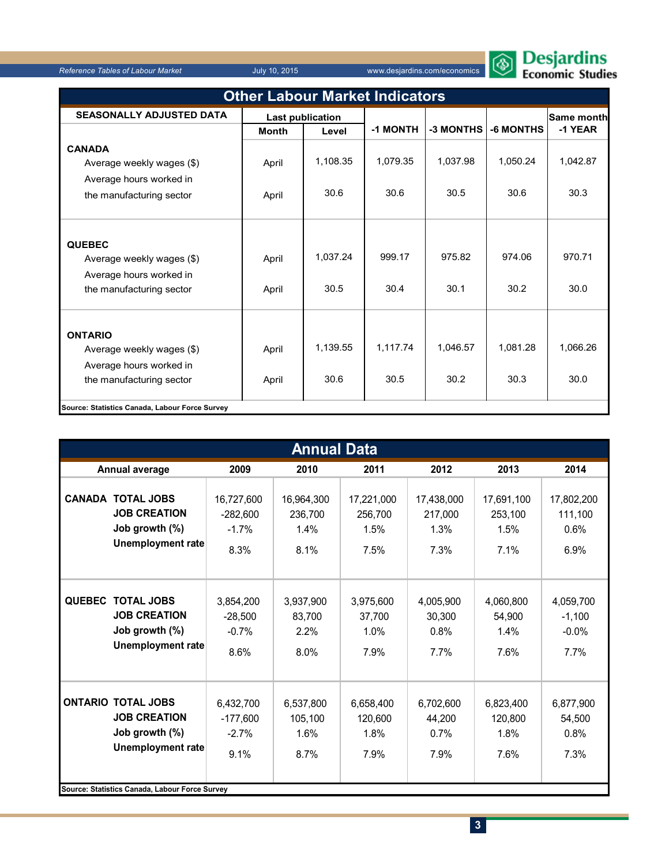

| <b>Other Labour Market Indicators</b>                                                              |                         |                  |                  |                  |                  |                   |  |  |  |  |
|----------------------------------------------------------------------------------------------------|-------------------------|------------------|------------------|------------------|------------------|-------------------|--|--|--|--|
| <b>SEASONALLY ADJUSTED DATA</b>                                                                    | <b>Last publication</b> |                  |                  |                  |                  | <b>Same month</b> |  |  |  |  |
|                                                                                                    | <b>Month</b><br>Level   |                  | -1 MONTH         | -3 MONTHS        | <b>-6 MONTHS</b> | -1 YEAR           |  |  |  |  |
| <b>CANADA</b>                                                                                      |                         |                  |                  |                  |                  |                   |  |  |  |  |
| Average weekly wages (\$)                                                                          | April                   | 1,108.35         | 1,079.35         | 1,037.98         | 1,050.24         | 1,042.87          |  |  |  |  |
| Average hours worked in                                                                            |                         |                  |                  |                  |                  |                   |  |  |  |  |
| the manufacturing sector                                                                           | April                   | 30.6             | 30.6             | 30.5             | 30.6             | 30.3              |  |  |  |  |
| <b>QUEBEC</b><br>Average weekly wages (\$)<br>Average hours worked in<br>the manufacturing sector  | April<br>April          | 1,037.24<br>30.5 | 999.17<br>30.4   | 975.82<br>30.1   | 974.06<br>30.2   | 970.71<br>30.0    |  |  |  |  |
| <b>ONTARIO</b><br>Average weekly wages (\$)<br>Average hours worked in<br>the manufacturing sector | April<br>April          | 1,139.55<br>30.6 | 1,117.74<br>30.5 | 1,046.57<br>30.2 | 1,081.28<br>30.3 | 1,066.26<br>30.0  |  |  |  |  |
| Source: Statistics Canada, Labour Force Survey                                                     |                         |                  |                  |                  |                  |                   |  |  |  |  |

|               | <b>Annual Data</b>                                                                                                                               |                                             |                                       |                                       |                                       |                                       |                                          |  |  |  |  |
|---------------|--------------------------------------------------------------------------------------------------------------------------------------------------|---------------------------------------------|---------------------------------------|---------------------------------------|---------------------------------------|---------------------------------------|------------------------------------------|--|--|--|--|
|               | Annual average                                                                                                                                   | 2009                                        | 2010                                  | 2011                                  | 2012                                  | 2013                                  | 2014                                     |  |  |  |  |
|               | <b>CANADA TOTAL JOBS</b><br><b>JOB CREATION</b><br>Job growth (%)<br><b>Unemployment rate</b>                                                    | 16,727,600<br>$-282,600$<br>$-1.7%$<br>8.3% | 16,964,300<br>236,700<br>1.4%<br>8.1% | 17,221,000<br>256,700<br>1.5%<br>7.5% | 17,438,000<br>217,000<br>1.3%<br>7.3% | 17,691,100<br>253,100<br>1.5%<br>7.1% | 17,802,200<br>111,100<br>0.6%<br>6.9%    |  |  |  |  |
| <b>QUEBEC</b> | <b>TOTAL JOBS</b><br><b>JOB CREATION</b><br>Job growth (%)<br><b>Unemployment rate</b>                                                           | 3,854,200<br>$-28,500$<br>$-0.7%$<br>8.6%   | 3,937,900<br>83,700<br>2.2%<br>8.0%   | 3,975,600<br>37,700<br>1.0%<br>7.9%   | 4,005,900<br>30,300<br>0.8%<br>7.7%   | 4,060,800<br>54,900<br>1.4%<br>7.6%   | 4,059,700<br>$-1,100$<br>$-0.0%$<br>7.7% |  |  |  |  |
|               | <b>ONTARIO TOTAL JOBS</b><br><b>JOB CREATION</b><br>Job growth (%)<br><b>Unemployment rate</b><br>Source: Statistics Canada, Labour Force Survey | 6,432,700<br>$-177.600$<br>$-2.7%$<br>9.1%  | 6,537,800<br>105.100<br>1.6%<br>8.7%  | 6,658,400<br>120.600<br>1.8%<br>7.9%  | 6,702,600<br>44.200<br>0.7%<br>7.9%   | 6,823,400<br>120.800<br>1.8%<br>7.6%  | 6,877,900<br>54.500<br>0.8%<br>7.3%      |  |  |  |  |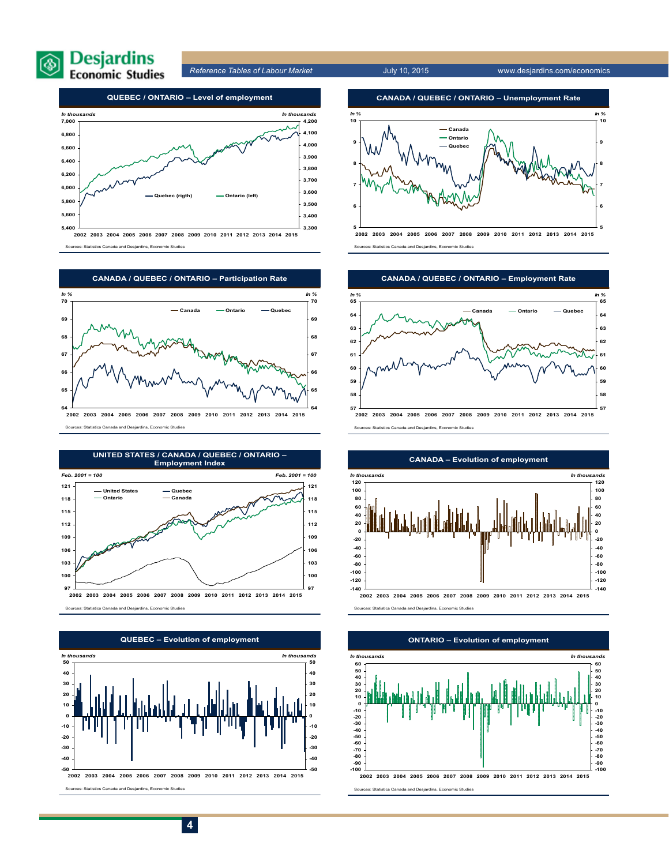



**2002 2003 2004 2005 2006 2007 2008 2009 2010 2011 2012 2013 2014 2015** Sources: Statistics Canada and Desjardins, Economic Studies



Sources: Statistics Canada and Desjardins, Economic Studies







Sources: Statistics Canada and Desjardins, Economic Studies



Sources: Statistics Canada and Desjardins, Economic Studies



#### **CANADA – Evolution of employment**

Sources: Statistics Canada and Desjardins, Economic Studies